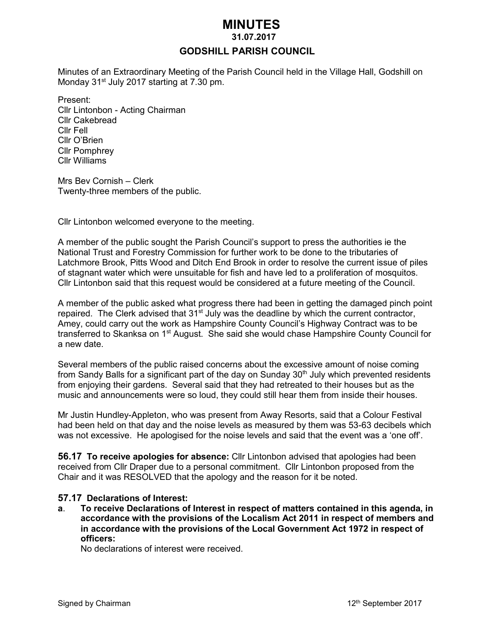# *MINUTES*

#### **31.07.2017**

### **GODSHILL PARISH COUNCIL**

Minutes of an Extraordinary Meeting of the Parish Council held in the Village Hall, Godshill on Monday 31<sup>st</sup> July 2017 starting at 7.30 pm.

Present: Cllr Lintonbon - Acting Chairman Cllr Cakebread Cllr Fell Cllr O'Brien Cllr Pomphrey Cllr Williams

Mrs Bev Cornish – Clerk Twenty-three members of the public.

Cllr Lintonbon welcomed everyone to the meeting.

A member of the public sought the Parish Council's support to press the authorities ie the National Trust and Forestry Commission for further work to be done to the tributaries of Latchmore Brook, Pitts Wood and Ditch End Brook in order to resolve the current issue of piles of stagnant water which were unsuitable for fish and have led to a proliferation of mosquitos. Cllr Lintonbon said that this request would be considered at a future meeting of the Council.

A member of the public asked what progress there had been in getting the damaged pinch point repaired. The Clerk advised that 31<sup>st</sup> July was the deadline by which the current contractor, Amey, could carry out the work as Hampshire County Council's Highway Contract was to be transferred to Skanksa on 1<sup>st</sup> August. She said she would chase Hampshire County Council for a new date.

Several members of the public raised concerns about the excessive amount of noise coming from Sandy Balls for a significant part of the day on Sunday  $30<sup>th</sup>$  July which prevented residents from enjoying their gardens. Several said that they had retreated to their houses but as the music and announcements were so loud, they could still hear them from inside their houses.

Mr Justin Hundley-Appleton, who was present from Away Resorts, said that a Colour Festival had been held on that day and the noise levels as measured by them was 53-63 decibels which was not excessive. He apologised for the noise levels and said that the event was a 'one off'.

**56.17 To receive apologies for absence:** Cllr Lintonbon advised that apologies had been received from Cllr Draper due to a personal commitment. Cllr Lintonbon proposed from the Chair and it was RESOLVED that the apology and the reason for it be noted.

#### **57.17 Declarations of Interest:**

**a**. **To receive Declarations of Interest in respect of matters contained in this agenda, in accordance with the provisions of the Localism Act 2011 in respect of members and in accordance with the provisions of the Local Government Act 1972 in respect of officers:**

No declarations of interest were received.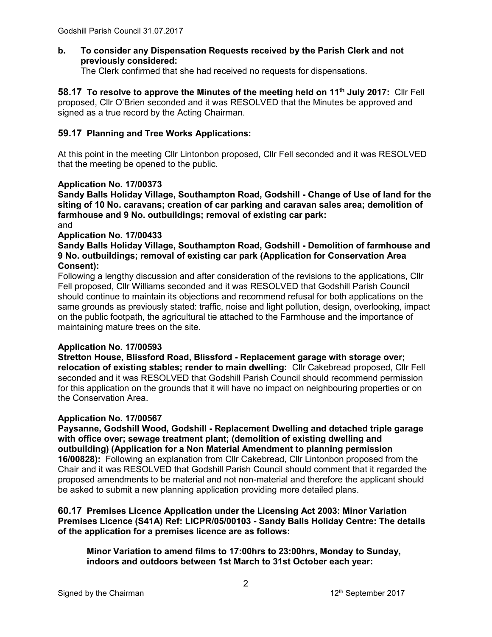**b. To consider any Dispensation Requests received by the Parish Clerk and not previously considered:** 

The Clerk confirmed that she had received no requests for dispensations.

**58.17 To resolve to approve the Minutes of the meeting held on 11th July 2017:** Cllr Fell proposed, Cllr O'Brien seconded and it was RESOLVED that the Minutes be approved and signed as a true record by the Acting Chairman.

### **59.17 Planning and Tree Works Applications:**

At this point in the meeting Cllr Lintonbon proposed, Cllr Fell seconded and it was RESOLVED that the meeting be opened to the public.

#### **Application No. 17/00373**

**Sandy Balls Holiday Village, Southampton Road, Godshill - Change of Use of land for the siting of 10 No. caravans; creation of car parking and caravan sales area; demolition of farmhouse and 9 No. outbuildings; removal of existing car park:** and

#### **Application No. 17/00433**

**Sandy Balls Holiday Village, Southampton Road, Godshill - Demolition of farmhouse and 9 No. outbuildings; removal of existing car park (Application for Conservation Area Consent):**

Following a lengthy discussion and after consideration of the revisions to the applications, Cllr Fell proposed, Cllr Williams seconded and it was RESOLVED that Godshill Parish Council should continue to maintain its objections and recommend refusal for both applications on the same grounds as previously stated: traffic, noise and light pollution, design, overlooking, impact on the public footpath, the agricultural tie attached to the Farmhouse and the importance of maintaining mature trees on the site.

#### **Application No. 17/00593**

**Stretton House, Blissford Road, Blissford - Replacement garage with storage over; relocation of existing stables; render to main dwelling:** Cllr Cakebread proposed, Cllr Fell seconded and it was RESOLVED that Godshill Parish Council should recommend permission for this application on the grounds that it will have no impact on neighbouring properties or on the Conservation Area.

#### **Application No. 17/00567**

**Paysanne, Godshill Wood, Godshill - Replacement Dwelling and detached triple garage with office over; sewage treatment plant; (demolition of existing dwelling and outbuilding) (Application for a Non Material Amendment to planning permission 16/00828):** Following an explanation from Cllr Cakebread, Cllr Lintonbon proposed from the Chair and it was RESOLVED that Godshill Parish Council should comment that it regarded the proposed amendments to be material and not non-material and therefore the applicant should be asked to submit a new planning application providing more detailed plans.

#### **60.17 Premises Licence Application under the Licensing Act 2003: Minor Variation Premises Licence (S41A) Ref: LICPR/05/00103 - Sandy Balls Holiday Centre: The details of the application for a premises licence are as follows:**

**Minor Variation to amend films to 17:00hrs to 23:00hrs, Monday to Sunday, indoors and outdoors between 1st March to 31st October each year:**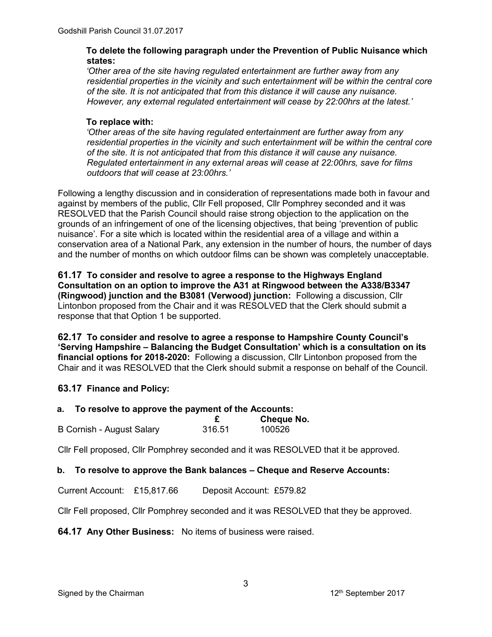### **To delete the following paragraph under the Prevention of Public Nuisance which states:**

*'Other area of the site having regulated entertainment are further away from any residential properties in the vicinity and such entertainment will be within the central core of the site. It is not anticipated that from this distance it will cause any nuisance. However, any external regulated entertainment will cease by 22:00hrs at the latest.'*

## **To replace with:**

*'Other areas of the site having regulated entertainment are further away from any residential properties in the vicinity and such entertainment will be within the central core of the site. It is not anticipated that from this distance it will cause any nuisance. Regulated entertainment in any external areas will cease at 22:00hrs, save for films outdoors that will cease at 23:00hrs.'* 

Following a lengthy discussion and in consideration of representations made both in favour and against by members of the public, Cllr Fell proposed, Cllr Pomphrey seconded and it was RESOLVED that the Parish Council should raise strong objection to the application on the grounds of an infringement of one of the licensing objectives, that being 'prevention of public nuisance'. For a site which is located within the residential area of a village and within a conservation area of a National Park, any extension in the number of hours, the number of days and the number of months on which outdoor films can be shown was completely unacceptable.

**61.17 To consider and resolve to agree a response to the Highways England Consultation on an option to improve the A31 at Ringwood between the A338/B3347 (Ringwood) junction and the B3081 (Verwood) junction:** Following a discussion, Cllr Lintonbon proposed from the Chair and it was RESOLVED that the Clerk should submit a response that that Option 1 be supported.

**62.17 To consider and resolve to agree a response to Hampshire County Council's 'Serving Hampshire – Balancing the Budget Consultation' which is a consultation on its financial options for 2018-2020:** Following a discussion, Cllr Lintonbon proposed from the Chair and it was RESOLVED that the Clerk should submit a response on behalf of the Council.

# **63.17 Finance and Policy:**

# **a. To resolve to approve the payment of the Accounts:**

|                           |        | <b>Cheque No.</b> |
|---------------------------|--------|-------------------|
| B Cornish - August Salary | 316.51 | 100526            |

Cllr Fell proposed, Cllr Pomphrey seconded and it was RESOLVED that it be approved.

# **b. To resolve to approve the Bank balances – Cheque and Reserve Accounts:**

Current Account: £15,817.66 Deposit Account: £579.82

Cllr Fell proposed, Cllr Pomphrey seconded and it was RESOLVED that they be approved.

**64.17 Any Other Business:** No items of business were raised.